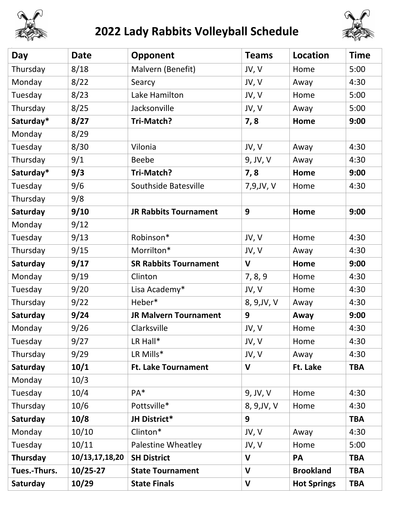

## **2022 Lady Rabbits Volleyball Schedule**



| Day          | Date           | Opponent                     | <b>Teams</b> | Location           | <b>Time</b> |
|--------------|----------------|------------------------------|--------------|--------------------|-------------|
| Thursday     | 8/18           | Malvern (Benefit)            | JV, V        | Home               | 5:00        |
| Monday       | 8/22           | Searcy                       | JV, V        | Away               | 4:30        |
| Tuesday      | 8/23           | Lake Hamilton                | JV, V        | Home               | 5:00        |
| Thursday     | 8/25           | Jacksonville                 | JV, V        | Away               | 5:00        |
| Saturday*    | 8/27           | Tri-Match?                   | 7,8          | Home               | 9:00        |
| Monday       | 8/29           |                              |              |                    |             |
| Tuesday      | 8/30           | Vilonia                      | JV, V        | Away               | 4:30        |
| Thursday     | 9/1            | <b>Beebe</b>                 | 9, JV, V     | Away               | 4:30        |
| Saturday*    | 9/3            | Tri-Match?                   | 7,8          | Home               | 9:00        |
| Tuesday      | 9/6            | Southside Batesville         | 7,9, JV, V   | Home               | 4:30        |
| Thursday     | 9/8            |                              |              |                    |             |
| Saturday     | 9/10           | <b>JR Rabbits Tournament</b> | 9            | Home               | 9:00        |
| Monday       | 9/12           |                              |              |                    |             |
| Tuesday      | 9/13           | Robinson*                    | JV, V        | Home               | 4:30        |
| Thursday     | 9/15           | Morrilton*                   | JV, V        | Away               | 4:30        |
| Saturday     | 9/17           | <b>SR Rabbits Tournament</b> | $\mathbf V$  | Home               | 9:00        |
| Monday       | 9/19           | Clinton                      | 7, 8, 9      | Home               | 4:30        |
| Tuesday      | 9/20           | Lisa Academy*                | JV, V        | Home               | 4:30        |
| Thursday     | 9/22           | Heber*                       | 8, 9, JV, V  | Away               | 4:30        |
| Saturday     | 9/24           | <b>JR Malvern Tournament</b> | 9            | Away               | 9:00        |
| Monday       | 9/26           | Clarksville                  | JV, V        | Home               | 4:30        |
| Tuesday      | 9/27           | LR Hall*                     | JV, V        | Home               | 4:30        |
| Thursday     | 9/29           | LR Mills*                    | JV, V        | Away               | 4:30        |
| Saturday     | 10/1           | <b>Ft. Lake Tournament</b>   | $\mathsf{V}$ | Ft. Lake           | <b>TBA</b>  |
| Monday       | 10/3           |                              |              |                    |             |
| Tuesday      | 10/4           | PA <sup>*</sup>              | 9, JV, V     | Home               | 4:30        |
| Thursday     | 10/6           | Pottsville*                  | 8, 9, JV, V  | Home               | 4:30        |
| Saturday     | 10/8           | JH District*                 | 9            |                    | <b>TBA</b>  |
| Monday       | 10/10          | Clinton*                     | JV, V        | Away               | 4:30        |
| Tuesday      | 10/11          | Palestine Wheatley           | JV, V        | Home               | 5:00        |
| Thursday     | 10/13,17,18,20 | <b>SH District</b>           | $\mathbf{V}$ | <b>PA</b>          | <b>TBA</b>  |
| Tues.-Thurs. | $10/25 - 27$   | <b>State Tournament</b>      | $\mathbf{V}$ | <b>Brookland</b>   | <b>TBA</b>  |
| Saturday     | 10/29          | <b>State Finals</b>          | $\mathbf V$  | <b>Hot Springs</b> | <b>TBA</b>  |